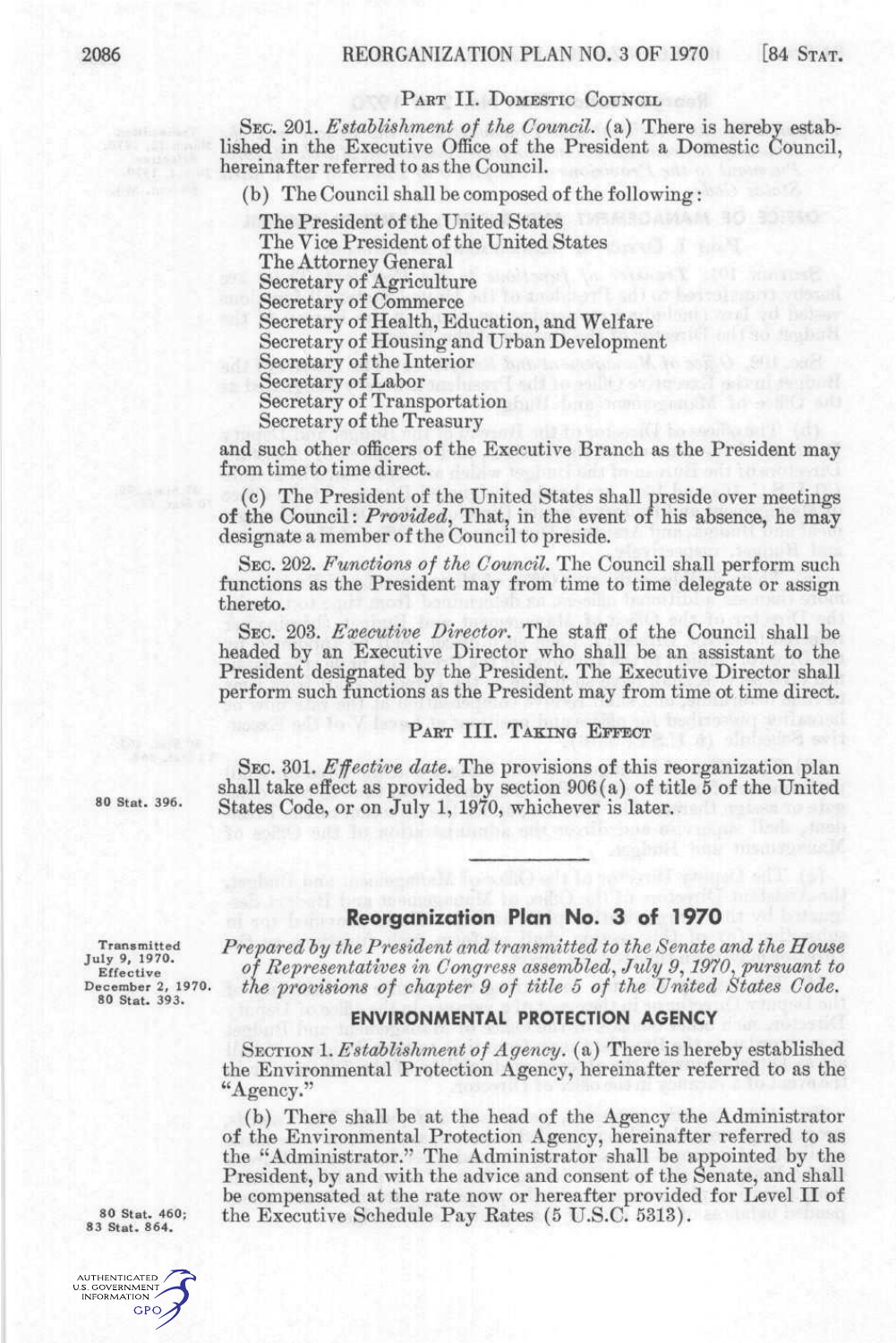## PART II. DOMESTIC COUNCIL

SEC. 201. *Estahlishment of the Council,* (a) There is hereby established in the Executive Office of the President a Domestic Council, hereinafter referred to as the Council.

(b) The Council shall be composed of the following:

The President of the United States The Vice President of the United States The Attorney General Secretary of Agriculture Secretary of Commerce Secretary of Health, Education, and Welfare Secretary of Housing and Urban Development Secretary of the Interior Secretary of Labor Secretary of Transportation Secretary of the Treasury

and such other officers of the Executive Branch as the President may from time to time direct.

(c) The President of the United States shall preside over meetings of the Council: *Provided*, That, in the event of his absence, he may designate a member of the Council to preside.

SEC. 202. *Functions of the Council.* The Council shall perform such functions as the President may from time to time delegate or assign thereto.

SEC. 203. *Executive Director.* The staff of the Council shall be headed by an Executive Director who shall be an assistant to the President designated by the President. The Executive Director shall perform such functions as the President may from time ot time direct.

## PART III. TAKING EFFECT

SEC. 301. *Effective date.* The provisions of this reorganization plan shall take effect as provided by section 906(a) of title 5 of the United 80 Stat. 396. States Code, or on July 1, 1970, whichever is later.

## **Reorganization Plan No. 3 of 1970**

Transmitted *Prepared hy the President and transmitted to the Senate and the House*  Effective of Representatives in Congress assembled, July 9, 1970. pursuant to<br>
Effective 2, 1970. the provisions of chapter 9 of title 5 of the United States Code.<br>
80 Stat. 393. the provisions of chapter 9 of title 5 of the United States Code.

## **ENVIRONMENTAL PROTECTION AGENCY**

SECTION 1. *Establishment of Agency,* (a) There is hereby established the Environmental Protection Agency, hereinafter referred to as the "Agency."

(b) There shall be at the head of the Agency the Administrator of the Environmental Protection Agency, hereinafter referred to as the "Administrator." The Administrator shall be appointed by the President, by and with the advice and consent of the Senate, and shall be compensated at the rate now or hereafter provided for Level II of 80 Stat. 460; the Executive Schedule Pay Rates (5 U.S.C. 5313).

83 Stat. 864.

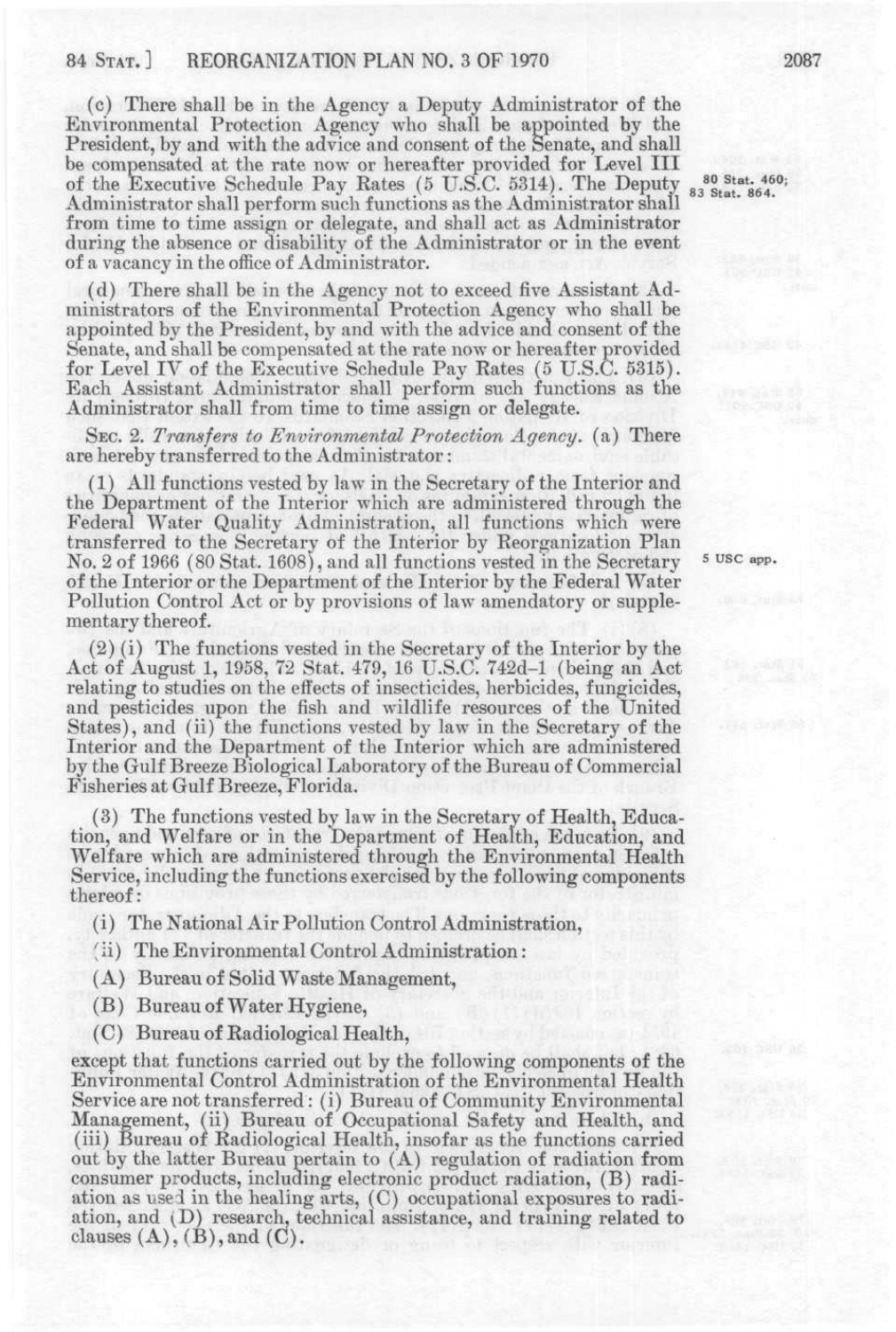(c) There shall be in the Agency a Deputy Administrator of the Environmental Protection Agency who shall be appointed by the President, by and with the advice and consent of the Senate, and shall be compensated at the rate now or hereafter provided for Level III of the Executive Schedule Pay Rates (5 U.S.C. 5314). The Deputy 80 Stat. 460;<br>of the Executive Schedule Pay Rates (5 U.S.C. 5314). The Deputy 83 Stat. 864. Administrator shall perform such functions as the Administrator shall from time to time assign or delegate, and shall act as Administrator during the absence or disability of the Administrator or in the event of a vacancy in the office of Administrator.

(d) There shall be in the Agency not to exceed five Assistant Administrators of the Environmental Protection Agency who shall be appointed by the President, by and with the advice and consent of the Senate, and shall be compensated at the rate now or hereafter provided for Level IV of the Executive Schedule Pay Rates (5 *V.S.C.* 5315). Each Assistant Administrator shall perform such functions as the Administrator shall from time to time assign or delegate.

SEC. 2. *Transfers to Environmental Protection Agency,* (a) There are hereby transferred to the Administrator:

(1) All functions vested by law in the Secretary of the Interior and the Department of the Interior which are administered through the Federal Water Quality Administration, all functions which were transferred to the Secretary of the Interior by Reorganization Plan No. 2 of 1966 (80 Stat. 1608), and all functions vested in the Secretary <sup>5 USC</sup> app. of the Interior or the Department of the Interior by the Federal Water Pollution Control Act or by provisions of law amendatory or supplementary thereof.

(2) (i) The functions vested in the Secretarv of the Interior by the Act of August 1, 1958, 72 Stat. 479, 16 U.S.C. 742d-1 (being an Act relating to studies on the effects of insecticides, herbicides, fungicides, and pesticides upon the fish and wildlife resources of the United States), and (ii) the functions vested by law in the Secretary of the Interior and the Department of the Interior which are administered by the Gulf Breeze Biological Laboratory of the Bureau of Commercial Fisheries at Gulf Breeze, Florida.

(3) The functions vested by law in the Secretary of Health, Education, and Welfare or in the Department of Health, Education, and Welfare which are administered through the Environmental Health Service, including the functions exercised by the following components thereof:

- (i) The National Air Pollution Control Administration,
- *[* ii) The Environmental Control Administration:
- (A) Bureau of Solid Waste Management,
- (B) Bureau of Water Hygiene,
- (C) Bureau of Radiological Health,

except that functions carried out by the following components of the Environmental Control Administration of the Environmental Health Service are not transferred: (i) Bureau of Community Environmental Management, (ii) Bureau of Occupational Safety and Health, and (iii) Bureau of Radiological Health, insofar as the functions carried out by the latter Bureau pertain to (A) regulation of radiation from consumer products, including electronic product radiation, (B) radiation as used in the healing arts, (C) occupational exposures to radiation, and (D) research, technical assistance, and training related to clauses  $(A)$ ,  $(B)$ , and  $(C)$ .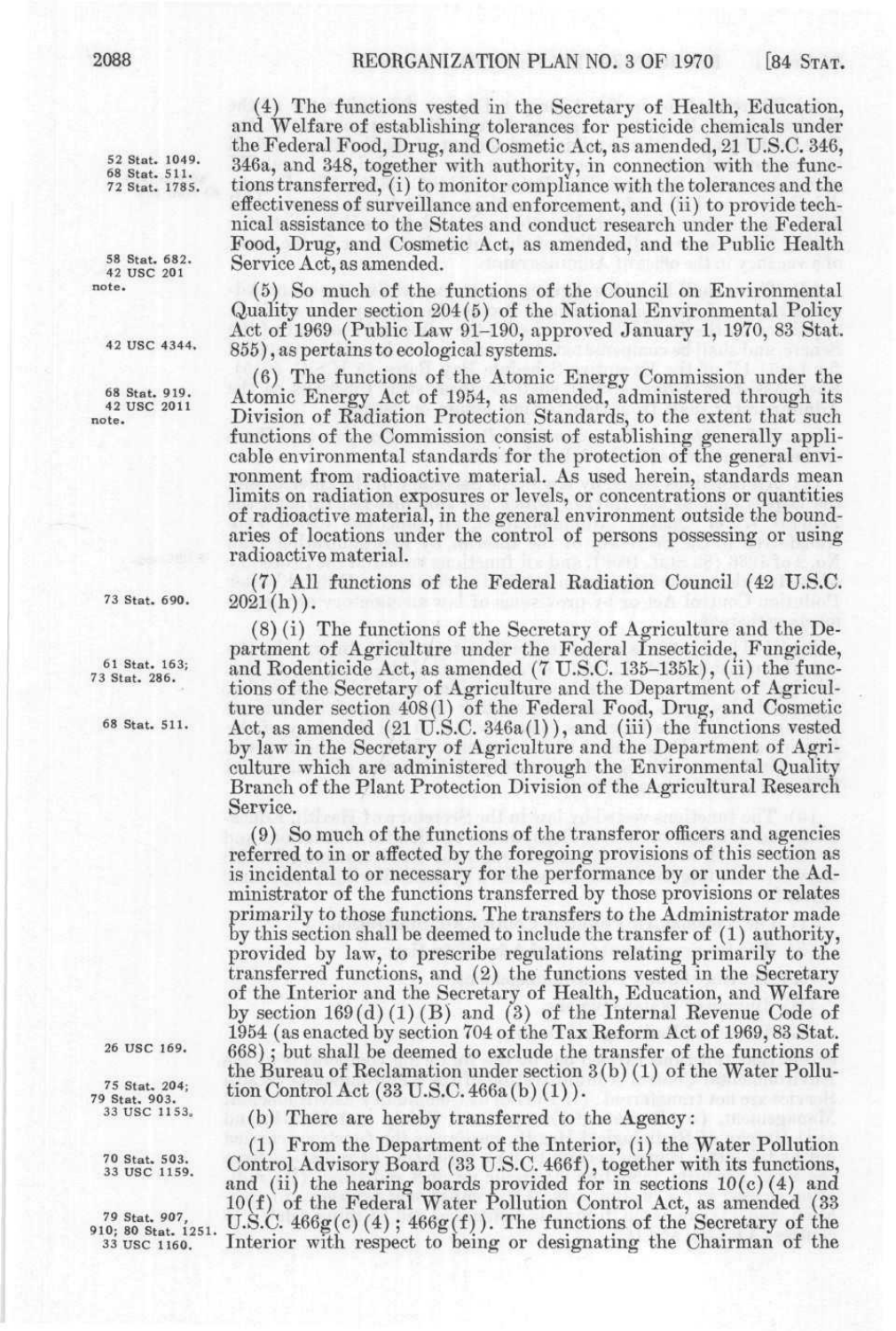52 Stat. 1049. 68 Stat. 511. 72 Stat. 1785.

58 Stat. 682.<br>42 USC 201 note.

42 USC 4344.

68 Stat. 919.<br>42 USC 2011 note .

73 Stat. 690.

61 Stat. 163; 73 Stat. 286.

68 Stat. 511.

26 USC 169.

75 Stat. 204; 79 Stat. 903. 33 USC 1153.

70 Stat. 503.<br>33 USC 1159.

79 Stat. 907, 910; 80 Stat. 1251. 33 USC 1160.

(4) The functions vested in the Secretary of Health, Education, and Welfare of establishing tolerances for pesticide chemicals under the Federal Food, Drug, and Cosmetic Act, as amended, 21 U.S.C. 346, 346a, and 348, together with authority, in connection with the functions transferred, (i) to monitor compliance with the tolerances and the effectiveness of surveillance and enforcement, and (ii) to provide technical assistance to the States and conduct research under the Federal Food, Drug, and Cosmetic Act, as amended, and the Public Health Service Act, as amended.

(5) So much of the functions of the Council on Environmental Quality under section 204(5) of the National Environmental Policy Act of 1969 (Public Law 91-190, approved January 1, 1970, 83 Stat. 855), as pertains to ecological systems.

(6) The functions of the Atomic Energy Commission under the Atomic Energy Act of 1954, as amended, administered through its Division of Radiation Protection Standards, to the extent that such functions of the Commission consist of establishing generally applicable environmental standards for the protection of the general environment from radioactive material. As used herein, standards mean limits on radiation exposures or levels, or concentrations or quantities of radioactive material, in the general environment outside the boundaries of locations under the control of persons possessing or using radioactive material.

(7) All functions of the Federal Kadiation Council (42 U.S.C.  $2021(h)$ .

(8) (i) The functions of the Secretary of Agriculture and the Department of Agriculture under the Federal Insecticide, Fungicide, and Rodenticide Act, as amended  $(7 \text{ U.S.C. } 135-135 \text{k})$ , (ii) the functions of the Secretary of Agriculture and the Department of Agriculture under section 408(1) of the Federal Food, Drug, and Cosmetic Act, as amended  $(21 \text{ U.S.C. } 346a(1))$ , and  $(iii)$  the functions vested by law in the Secretary of Agriculture and the Department of Agriculture which are administered through the Environmental Quality Branch of the Plant Protection Division of the Agricultural Research Service.

(9) So much of the functions of the transferor officers and agencies referred to in or affected by the foregoing provisions of this section as is incidental to or necessary for the performance by or under the Administrator of the functions transferred by those provisions or relates primarily to those functions. The transfers to the Administrator made by this section shall be deemed to include the transfer of (1) authority, provided by law, to prescribe regulations relating primarily to the transferred functions, and (2) the functions vested in the Secretary of the Interior and the Secretary of Health, Education, and Welfare by section  $169(d)(1)(B)$  and  $(3)$  of the Internal Revenue Code of 1954 (as enacted by section 704 of the Tax Reform Act of 1969, 83 Stat. 668) ; but shall be deemed to exclude the transfer of the functions of the Bureau of Reclamation under section 3(b) (1) of the Water Pollution Control Act (33 U.S.C. 466a (b) (1)).

(b) There are hereby transferred to the Agency:

(1) From the Department of the Interior, (i) the Water Pollution Control Advisory Board (33 U.S.C. 466f), together with its functions, and (ii) the hearing boards provided for in sections  $10(c)(4)$  and 10(f) of the Federal Water Pollution Control Act, as amended (33 U.S.C.  $466g(c)$  (4);  $466g(f)$ ). The functions of the Secretary of the Interior with respect to being or designating the Chairman of the